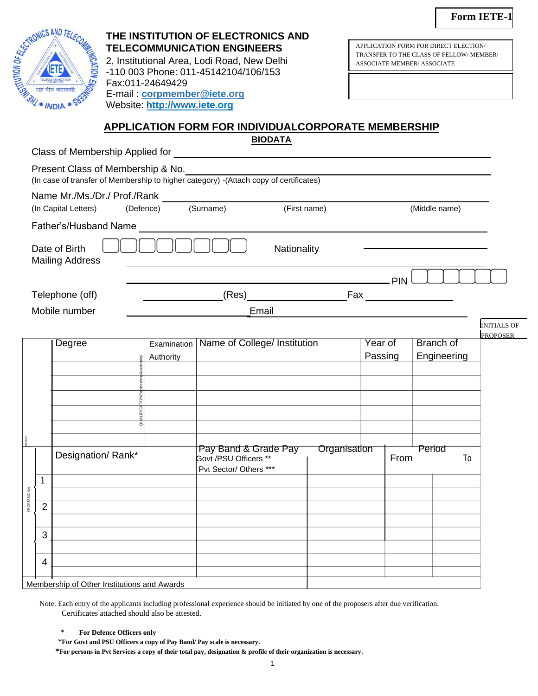

# **THE INSTITUTION OF ELECTRONICS AND TELECOMMUNICATION ENGINEERS**

2, Institutional Area, Lodi Road, New Delhi -110 003 Phone: 011-45142104/106/153 Fax:011-24649429 E-mail : **cor[pmember@iete.org](mailto:member@iete.org)** Website: **[http://www.iete.org](http://www.iete.org/)**

APPLICATION FORM FOR DIRECT ELECTION/ TRANSFER TO THE CLASS OF FELLOW/ MEMBER/ ASSOCIATE MEMBER/ ASSOCIATE

## **APPLICATION FORM FOR INDIVIDUALCORPORATE MEMBERSHIP**

**BIODATA**

Class of Membership Applied for

|                     | Present Class of Membership & No.                    |                               | (In case of transfer of Membership to higher category) - (Attach copy of certificates) |              |                    |            |        |                                 |                                       |
|---------------------|------------------------------------------------------|-------------------------------|----------------------------------------------------------------------------------------|--------------|--------------------|------------|--------|---------------------------------|---------------------------------------|
|                     | Name Mr./Ms./Dr./ Prof./Rank<br>(In Capital Letters) | (Defence)                     | (Surname)                                                                              | (First name) |                    |            |        | (Middle name)                   |                                       |
|                     | Father's/Husband Name                                |                               |                                                                                        |              |                    |            |        |                                 |                                       |
|                     | Date of Birth<br><b>Mailing Address</b>              |                               | Nationality                                                                            |              |                    |            |        |                                 |                                       |
|                     |                                                      |                               |                                                                                        |              |                    | <b>PIN</b> |        |                                 |                                       |
|                     | Telephone (off)                                      |                               | (Res)                                                                                  | Fax          |                    |            |        |                                 |                                       |
|                     | Mobile number                                        |                               | Email                                                                                  |              |                    |            |        |                                 |                                       |
|                     |                                                      |                               |                                                                                        |              |                    |            |        |                                 | <b>INITIALS OF</b><br><b>PROPOSER</b> |
|                     | <b>Degree</b>                                        | Examination<br>Authority<br>S | Name of College/ Institution                                                           |              | Year of<br>Passing |            |        | <b>Branch of</b><br>Engineering |                                       |
|                     |                                                      |                               |                                                                                        |              |                    |            |        |                                 |                                       |
|                     |                                                      |                               |                                                                                        |              |                    |            |        |                                 |                                       |
|                     |                                                      |                               |                                                                                        |              |                    |            |        |                                 |                                       |
|                     | Designation/Rank*                                    |                               | Pay Band & Grade Pay<br>Govt /PSU Officers **<br>Pvt Sector/ Others ***                | Organisation |                    | From       | Period | To                              |                                       |
| $\mathbf{1}$        |                                                      |                               |                                                                                        |              |                    |            |        |                                 |                                       |
| <b>PROFESSIONAL</b> |                                                      |                               |                                                                                        |              |                    |            |        |                                 |                                       |
| $\overline{2}$      |                                                      |                               |                                                                                        |              |                    |            |        |                                 |                                       |
| 3                   |                                                      |                               |                                                                                        |              |                    |            |        |                                 |                                       |
|                     |                                                      |                               |                                                                                        |              |                    |            |        |                                 |                                       |
| 4                   |                                                      |                               |                                                                                        |              |                    |            |        |                                 |                                       |
|                     | Membership of Other Institutions and Awards          |                               |                                                                                        |              |                    |            |        |                                 |                                       |

Note: Each entry of the applicants including professional experience should be initiated by one of the proposers after due verification. Certificates attached should also be attested.

#### \* **For Defence Officers only**

\***For Govt and PSU Officers a copy of Pay Band/ Pay scale is necessary.**

**\*For persons in Pvt Services a copy of their total pay, designation & profile of their organization is necessary**.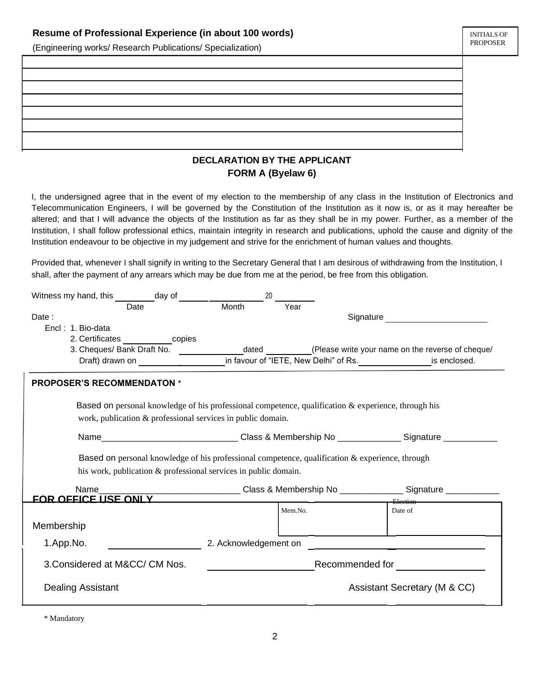#### **Resume of Professional Experience (in about 100 words)**

(Engineering works/ Research Publications/ Specialization)

### **DECLARATION BY THE APPLICANT FORM A (Byelaw 6)**

I, the undersigned agree that in the event of my election to the membership of any class in the Institution of Electronics and Telecommunication Engineers, I will be governed by the Constitution of the Institution as it now is, or as it may hereafter be altered; and that I will advance the objects of the Institution as far as they shall be in my power. Further, as a member of the Institution, I shall follow professional ethics, maintain integrity in research and publications, uphold the cause and dignity of the Institution endeavour to be objective in my judgement and strive for the enrichment of human values and thoughts.

Provided that, whenever I shall signify in writing to the Secretary General that I am desirous of withdrawing from the Institution, I shall, after the payment of any arrears which may be due from me at the period, be free from this obligation.

| Witness my hand, this $\frac{1}{\sqrt{2\pi}}$ day of $\frac{1}{\sqrt{2\pi}}$ Month                     | 20 |                 |                                                                                                           |
|--------------------------------------------------------------------------------------------------------|----|-----------------|-----------------------------------------------------------------------------------------------------------|
|                                                                                                        |    | Year            |                                                                                                           |
| Date:                                                                                                  |    |                 |                                                                                                           |
| Encl: 1. Bio-data                                                                                      |    |                 |                                                                                                           |
| 2. Certificates ___________copies                                                                      |    |                 |                                                                                                           |
| 3. Cheques/ Bank Draft No.                                                                             |    |                 |                                                                                                           |
|                                                                                                        |    |                 |                                                                                                           |
| <b>PROPOSER'S RECOMMENDATON *</b>                                                                      |    |                 |                                                                                                           |
| Based on personal knowledge of his professional competence, qualification $\&$ experience, through his |    |                 |                                                                                                           |
| work, publication & professional services in public domain.                                            |    |                 |                                                                                                           |
|                                                                                                        |    |                 | Name___________________________________Class & Membership No _________________Signature _________________ |
| Based on personal knowledge of his professional competence, qualification & experience, through        |    |                 |                                                                                                           |
| his work, publication & professional services in public domain.                                        |    |                 |                                                                                                           |
| Name                                                                                                   |    |                 | ______________________Class & Membership No _______________Signature ___________                          |
| FOR OFFICE USE ONLY ________________                                                                   |    |                 | Election                                                                                                  |
|                                                                                                        |    | Mem.No.         | Date of                                                                                                   |
| Membership                                                                                             |    |                 |                                                                                                           |
| 1.App.No.                                                                                              |    |                 |                                                                                                           |
| 3. Considered at M&CC/ CM Nos.                                                                         |    | Recommended for |                                                                                                           |
| <b>Dealing Assistant</b>                                                                               |    |                 | Assistant Secretary (M & CC)                                                                              |
|                                                                                                        |    |                 |                                                                                                           |

\* Mandatory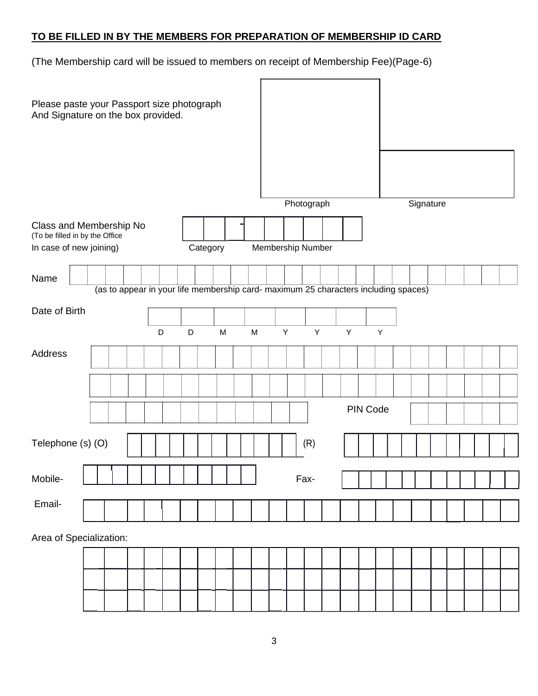# **TO BE FILLED IN BY THE MEMBERS FOR PREPARATION OF MEMBERSHIP ID CARD**

(The Membership card will be issued to members on receipt of Membership Fee)(Page-6)

| Please paste your Passport size photograph<br>And Signature on the box provided. |                                                                                     |  |   |   |           |  |           |                   |             |             |  |             |          |   |           |  |  |  |
|----------------------------------------------------------------------------------|-------------------------------------------------------------------------------------|--|---|---|-----------|--|-----------|-------------------|-------------|-------------|--|-------------|----------|---|-----------|--|--|--|
|                                                                                  |                                                                                     |  |   |   |           |  |           |                   |             |             |  |             |          |   |           |  |  |  |
|                                                                                  |                                                                                     |  |   |   |           |  |           |                   | Photograph  |             |  |             |          |   | Signature |  |  |  |
| Class and Membership No<br>(To be filled in by the Office                        |                                                                                     |  |   |   |           |  |           |                   |             |             |  |             |          |   |           |  |  |  |
| In case of new joining)                                                          |                                                                                     |  |   |   | Category  |  |           | Membership Number |             |             |  |             |          |   |           |  |  |  |
| Name                                                                             |                                                                                     |  |   |   |           |  |           |                   |             |             |  |             |          |   |           |  |  |  |
|                                                                                  | (as to appear in your life membership card- maximum 25 characters including spaces) |  |   |   |           |  |           |                   |             |             |  |             |          |   |           |  |  |  |
| Date of Birth                                                                    |                                                                                     |  |   |   |           |  |           |                   |             |             |  |             |          |   |           |  |  |  |
|                                                                                  |                                                                                     |  | D | D | ${\sf M}$ |  | ${\sf M}$ |                   | $\mathsf Y$ | $\mathsf Y$ |  | $\mathsf Y$ |          | Y |           |  |  |  |
| Address                                                                          |                                                                                     |  |   |   |           |  |           |                   |             |             |  |             |          |   |           |  |  |  |
|                                                                                  |                                                                                     |  |   |   |           |  |           |                   |             |             |  |             |          |   |           |  |  |  |
|                                                                                  |                                                                                     |  |   |   |           |  |           |                   |             |             |  |             | PIN Code |   |           |  |  |  |
| Telephone (s) (O)                                                                |                                                                                     |  |   |   |           |  |           |                   |             | (R)         |  |             |          |   |           |  |  |  |
| Mobile-                                                                          |                                                                                     |  |   |   |           |  |           |                   |             | Fax-        |  |             |          |   |           |  |  |  |
| Email-                                                                           |                                                                                     |  |   |   |           |  |           |                   |             |             |  |             |          |   |           |  |  |  |
| Area of Specialization:                                                          |                                                                                     |  |   |   |           |  |           |                   |             |             |  |             |          |   |           |  |  |  |
|                                                                                  |                                                                                     |  |   |   |           |  |           |                   |             |             |  |             |          |   |           |  |  |  |
|                                                                                  |                                                                                     |  |   |   |           |  |           |                   |             |             |  |             |          |   |           |  |  |  |
|                                                                                  |                                                                                     |  |   |   |           |  |           |                   |             |             |  |             |          |   |           |  |  |  |
|                                                                                  |                                                                                     |  |   |   |           |  |           |                   |             |             |  |             |          |   |           |  |  |  |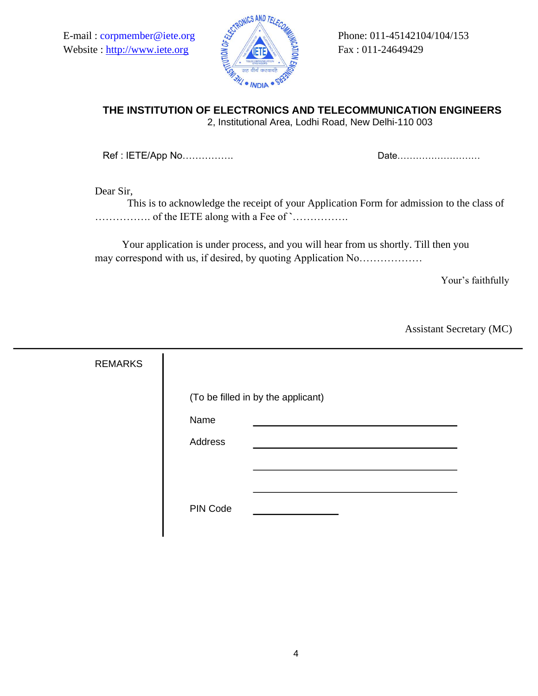Website : [http://www.iete.org](http://www.iete.org/)  $\frac{1}{5}$  Fig. Fax : 011-24649429



# **THE INSTITUTION OF ELECTRONICS AND TELECOMMUNICATION ENGINEERS**

2, Institutional Area, Lodhi Road, New Delhi-110 003

Ref : IETE/App No……………. Date………………………

Dear Sir,

This is to acknowledge the receipt of your Application Form for admission to the class of ……………. of the IETE along with a Fee of **`**…………….

Your application is under process, and you will hear from us shortly. Till then you may correspond with us, if desired, by quoting Application No………………

Your's faithfully

Assistant Secretary (MC)

| <b>REMARKS</b> |                                    |  |
|----------------|------------------------------------|--|
|                | (To be filled in by the applicant) |  |
|                | Name                               |  |
|                | Address                            |  |
|                |                                    |  |
|                |                                    |  |
|                | PIN Code                           |  |
|                |                                    |  |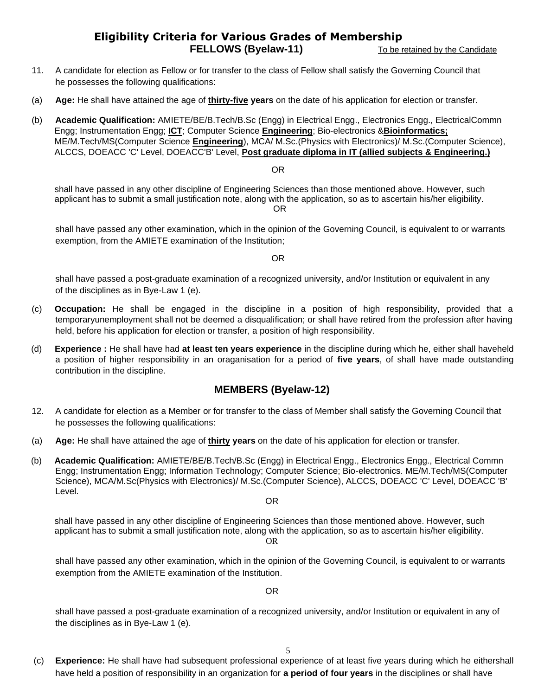## **Eligibility Criteria for Various Grades of Membership FELLOWS (Byelaw-11)** To be retained by the Candidate

- 11. A candidate for election as Fellow or for transfer to the class of Fellow shall satisfy the Governing Council that he possesses the following qualifications:
- (a) **Age:** He shall have attained the age of **thirty-five years** on the date of his application for election or transfer.
- (b) **Academic Qualification:** AMIETE/BE/B.Tech/B.Sc (Engg) in Electrical Engg., Electronics Engg., ElectricalCommn Engg; Instrumentation Engg; **ICT**; Computer Science **Engineering**; Bio-electronics &**Bioinformatics;** ME/M.Tech/MS(Computer Science **Engineering**), MCA/ M.Sc.(Physics with Electronics)/ M.Sc.(Computer Science), ALCCS, DOEACC 'C' Level, DOEACC'B' Level, **Post graduate diploma in IT (allied subjects & Engineering.)**

OR

shall have passed in any other discipline of Engineering Sciences than those mentioned above. However, such applicant has to submit a small justification note, along with the application, so as to ascertain his/her eligibility. OR

shall have passed any other examination, which in the opinion of the Governing Council, is equivalent to or warrants exemption, from the AMIETE examination of the Institution;

OR

shall have passed a post-graduate examination of a recognized university, and/or Institution or equivalent in any of the disciplines as in Bye-Law 1 (e).

- (c) **Occupation:** He shall be engaged in the discipline in a position of high responsibility, provided that a temporaryunemployment shall not be deemed a disqualification; or shall have retired from the profession after having held, before his application for election or transfer, a position of high responsibility.
- (d) **Experience :** He shall have had **at least ten years experience** in the discipline during which he, either shall haveheld a position of higher responsibility in an oraganisation for a period of **five years**, of shall have made outstanding contribution in the discipline.

### **MEMBERS (Byelaw-12)**

- 12. A candidate for election as a Member or for transfer to the class of Member shall satisfy the Governing Council that he possesses the following qualifications:
- (a) **Age:** He shall have attained the age of **thirty years** on the date of his application for election or transfer.
- (b) **Academic Qualification:** AMIETE/BE/B.Tech/B.Sc (Engg) in Electrical Engg., Electronics Engg., Electrical Commn Engg; Instrumentation Engg; Information Technology; Computer Science; Bio-electronics. ME/M.Tech/MS(Computer Science), MCA/M.Sc(Physics with Electronics)/ M.Sc.(Computer Science), ALCCS, DOEACC 'C' Level, DOEACC 'B' Level.

OR

shall have passed in any other discipline of Engineering Sciences than those mentioned above. However, such applicant has to submit a small justification note, along with the application, so as to ascertain his/her eligibility. OR

shall have passed any other examination, which in the opinion of the Governing Council, is equivalent to or warrants exemption from the AMIETE examination of the Institution.

OR

shall have passed a post-graduate examination of a recognized university, and/or Institution or equivalent in any of the disciplines as in Bye-Law 1 (e).

(c) **Experience:** He shall have had subsequent professional experience of at least five years during which he eithershall have held a position of responsibility in an organization for **a period of four years** in the disciplines or shall have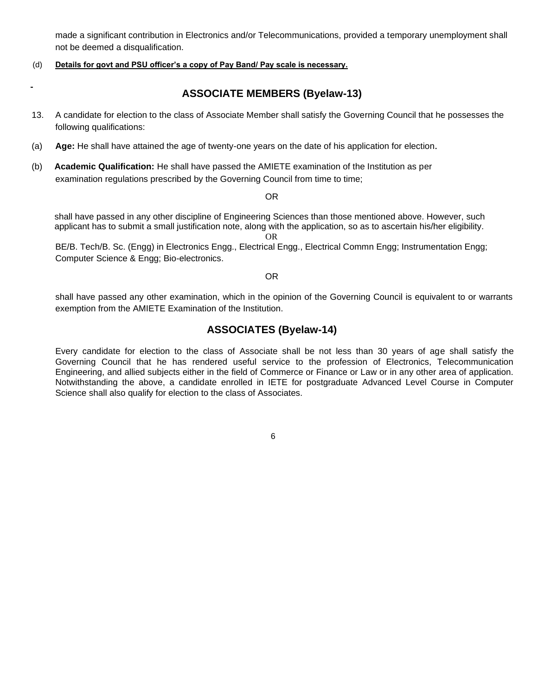made a significant contribution in Electronics and/or Telecommunications, provided a temporary unemployment shall not be deemed a disqualification.

#### (d) **Details for govt and PSU officer's a copy of Pay Band/ Pay scale is necessary.**

### **ASSOCIATE MEMBERS (Byelaw-13)**

- 13. A candidate for election to the class of Associate Member shall satisfy the Governing Council that he possesses the following qualifications:
- (a) **Age:** He shall have attained the age of twenty-one years on the date of his application for election.
- (b) **Academic Qualification:** He shall have passed the AMIETE examination of the Institution as per examination regulations prescribed by the Governing Council from time to time;

#### OR

shall have passed in any other discipline of Engineering Sciences than those mentioned above. However, such applicant has to submit a small justification note, along with the application, so as to ascertain his/her eligibility.

OR

BE/B. Tech/B. Sc. (Engg) in Electronics Engg., Electrical Engg., Electrical Commn Engg; Instrumentation Engg; Computer Science & Engg; Bio-electronics.

#### OR

shall have passed any other examination, which in the opinion of the Governing Council is equivalent to or warrants exemption from the AMIETE Examination of the Institution.

### **ASSOCIATES (Byelaw-14)**

Every candidate for election to the class of Associate shall be not less than 30 years of age shall satisfy the Governing Council that he has rendered useful service to the profession of Electronics, Telecommunication Engineering, and allied subjects either in the field of Commerce or Finance or Law or in any other area of application. Notwithstanding the above, a candidate enrolled in IETE for postgraduate Advanced Level Course in Computer Science shall also qualify for election to the class of Associates.

6